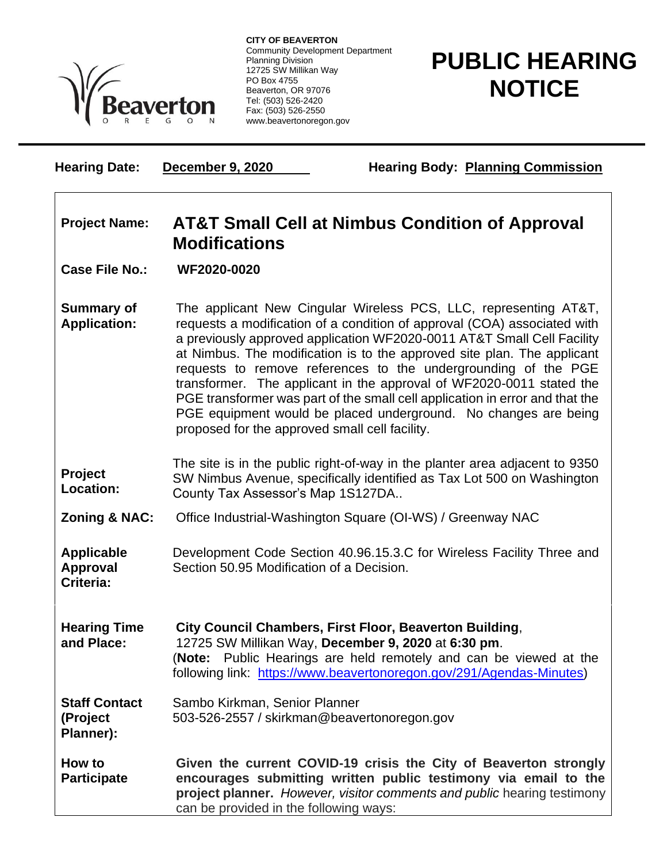

**CITY OF BEAVERTON** Community Development Department Planning Division 12725 SW Millikan Way PO Box 4755 Beaverton, OR 97076 Tel: (503) 526-2420 Fax: (503) 526-2550 www.beavertonoregon.gov

## **PUBLIC HEARING NOTICE**

**Hearing Date: December 9, 2020 Hearing Body: Planning Commission** 

## **Project Name: AT&T Small Cell at Nimbus Condition of Approval Modifications**

**Case File No.: WF2020-0020**

**Summary of Application:** The applicant New Cingular Wireless PCS, LLC, representing AT&T, requests a modification of a condition of approval (COA) associated with a previously approved application WF2020-0011 AT&T Small Cell Facility at Nimbus. The modification is to the approved site plan. The applicant requests to remove references to the undergrounding of the PGE transformer. The applicant in the approval of WF2020-0011 stated the PGE transformer was part of the small cell application in error and that the PGE equipment would be placed underground. No changes are being proposed for the approved small cell facility.

**Project Location:** The site is in the public right-of-way in the planter area adjacent to 9350 SW Nimbus Avenue, specifically identified as Tax Lot 500 on Washington County Tax Assessor's Map 1S127DA..

**Zoning & NAC:** Office Industrial-Washington Square (OI-WS) / Greenway NAC

**Applicable Approval Criteria:** Development Code Section 40.96.15.3.C for Wireless Facility Three and Section 50.95 Modification of a Decision.

**Hearing Time and Place: City Council Chambers, First Floor, Beaverton Building**, 12725 SW Millikan Way, **December 9, 2020** at **6:30 pm**. (**Note:** Public Hearings are held remotely and can be viewed at the following link: [https://www.beavertonoregon.gov/291/Agendas-Minutes\)](https://www.beavertonoregon.gov/291/Agendas-Minutes)

**Staff Contact (Project Planner):** Sambo Kirkman, Senior Planner 503-526-2557 / skirkman@beavertonoregon.gov

**How to Participate Given the current COVID-19 crisis the City of Beaverton strongly encourages submitting written public testimony via email to the project planner.** *However, visitor comments and public* hearing testimony can be provided in the following ways: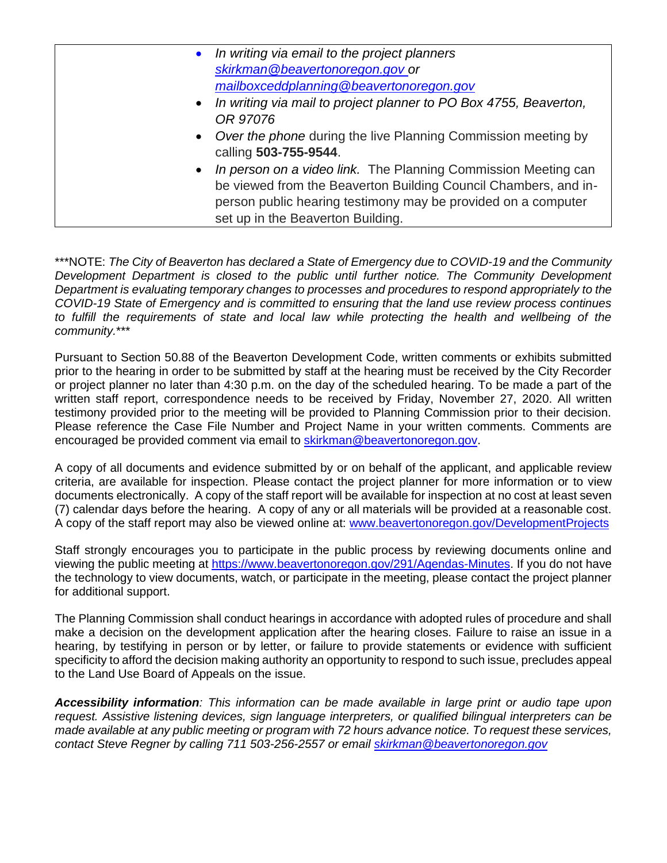| • In writing via email to the project planners                                           |
|------------------------------------------------------------------------------------------|
| skirkman@beavertonoregon.gov_or                                                          |
| mailboxceddplanning@beavertonoregon.gov                                                  |
| • In writing via mail to project planner to PO Box 4755, Beaverton,                      |
| OR 97076                                                                                 |
| • Over the phone during the live Planning Commission meeting by<br>calling 503-755-9544. |
| • In person on a video link. The Planning Commission Meeting can                         |
| be viewed from the Beaverton Building Council Chambers, and in-                          |
| person public hearing testimony may be provided on a computer                            |
| set up in the Beaverton Building.                                                        |

\*\*\*NOTE: *The City of Beaverton has declared a State of Emergency due to COVID-19 and the Community Development Department is closed to the public until further notice. The Community Development Department is evaluating temporary changes to processes and procedures to respond appropriately to the COVID-19 State of Emergency and is committed to ensuring that the land use review process continues*  to fulfill the requirements of state and local law while protecting the health and wellbeing of the *community.*\*\*\*

Pursuant to Section 50.88 of the Beaverton Development Code, written comments or exhibits submitted prior to the hearing in order to be submitted by staff at the hearing must be received by the City Recorder or project planner no later than 4:30 p.m. on the day of the scheduled hearing. To be made a part of the written staff report, correspondence needs to be received by Friday, November 27, 2020. All written testimony provided prior to the meeting will be provided to Planning Commission prior to their decision. Please reference the Case File Number and Project Name in your written comments. Comments are encouraged be provided comment via email to [skirkman@beavertonoregon.gov.](mailto:skirkman@beavertonoregon.gov)

A copy of all documents and evidence submitted by or on behalf of the applicant, and applicable review criteria, are available for inspection. Please contact the project planner for more information or to view documents electronically. A copy of the staff report will be available for inspection at no cost at least seven (7) calendar days before the hearing. A copy of any or all materials will be provided at a reasonable cost. A copy of the staff report may also be viewed online at: [www.beavertonoregon.gov/DevelopmentProjects](http://www.beavertonoregon.gov/DevelopmentProjects)

Staff strongly encourages you to participate in the public process by reviewing documents online and viewing the public meeting at [https://www.beavertonoregon.gov/291/Agendas-Minutes.](https://www.beavertonoregon.gov/291/Agendas-Minutes) If you do not have the technology to view documents, watch, or participate in the meeting, please contact the project planner for additional support.

The Planning Commission shall conduct hearings in accordance with adopted rules of procedure and shall make a decision on the development application after the hearing closes. Failure to raise an issue in a hearing, by testifying in person or by letter, or failure to provide statements or evidence with sufficient specificity to afford the decision making authority an opportunity to respond to such issue, precludes appeal to the Land Use Board of Appeals on the issue.

*Accessibility information: This information can be made available in large print or audio tape upon request. Assistive listening devices, sign language interpreters, or qualified bilingual interpreters can be made available at any public meeting or program with 72 hours advance notice. To request these services, contact Steve Regner by calling 711 503-256-2557 or email [skirkman@beavertonoregon.gov](mailto:skirkman@beavertonoregon.gov)*